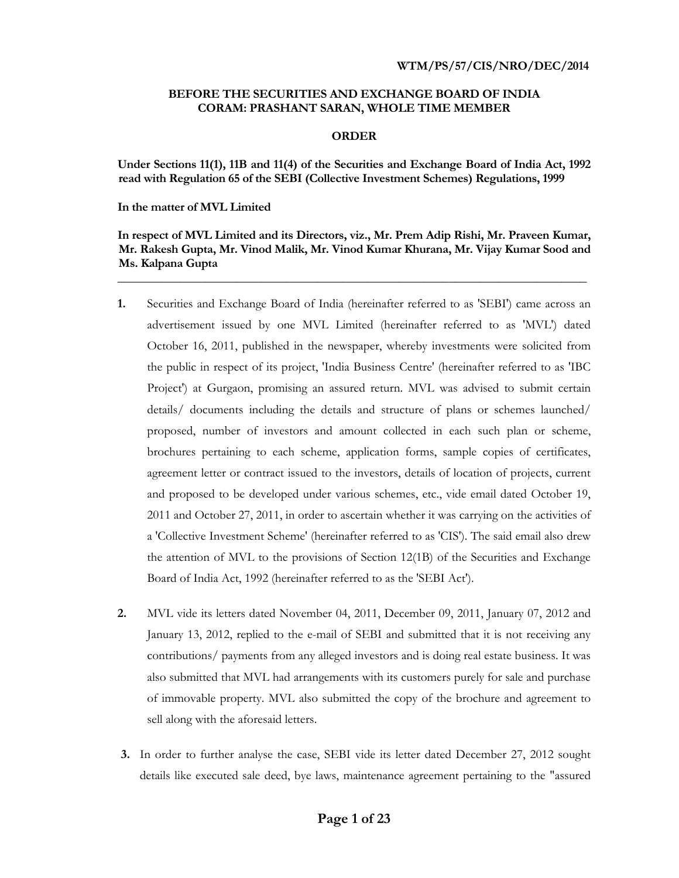## **BEFORE THE SECURITIES AND EXCHANGE BOARD OF INDIA CORAM: PRASHANT SARAN, WHOLE TIME MEMBER**

### **ORDER**

**Under Sections 11(1), 11B and 11(4) of the Securities and Exchange Board of India Act, 1992 read with Regulation 65 of the SEBI (Collective Investment Schemes) Regulations, 1999** 

**In the matter of MVL Limited** 

**In respect of MVL Limited and its Directors, viz., Mr. Prem Adip Rishi, Mr. Praveen Kumar, Mr. Rakesh Gupta, Mr. Vinod Malik, Mr. Vinod Kumar Khurana, Mr. Vijay Kumar Sood and Ms. Kalpana Gupta**

\_\_\_\_\_\_\_\_\_\_\_\_\_\_\_\_\_\_\_\_\_\_\_\_\_\_\_\_\_\_\_\_\_\_\_\_\_\_\_\_\_\_\_\_\_\_\_\_\_\_\_\_\_\_\_\_\_\_\_\_\_\_\_\_\_\_\_\_\_\_\_\_\_\_\_

- **1.** Securities and Exchange Board of India (hereinafter referred to as 'SEBI') came across an advertisement issued by one MVL Limited (hereinafter referred to as 'MVL') dated October 16, 2011, published in the newspaper, whereby investments were solicited from the public in respect of its project, 'India Business Centre' (hereinafter referred to as 'IBC Project') at Gurgaon, promising an assured return. MVL was advised to submit certain details/ documents including the details and structure of plans or schemes launched/ proposed, number of investors and amount collected in each such plan or scheme, brochures pertaining to each scheme, application forms, sample copies of certificates, agreement letter or contract issued to the investors, details of location of projects, current and proposed to be developed under various schemes, etc., vide email dated October 19, 2011 and October 27, 2011, in order to ascertain whether it was carrying on the activities of a 'Collective Investment Scheme' (hereinafter referred to as 'CIS'). The said email also drew the attention of MVL to the provisions of Section 12(1B) of the Securities and Exchange Board of India Act, 1992 (hereinafter referred to as the 'SEBI Act').
- **2.** MVL vide its letters dated November 04, 2011, December 09, 2011, January 07, 2012 and January 13, 2012, replied to the e-mail of SEBI and submitted that it is not receiving any contributions/ payments from any alleged investors and is doing real estate business. It was also submitted that MVL had arrangements with its customers purely for sale and purchase of immovable property. MVL also submitted the copy of the brochure and agreement to sell along with the aforesaid letters.
- **3.** In order to further analyse the case, SEBI vide its letter dated December 27, 2012 sought details like executed sale deed, bye laws, maintenance agreement pertaining to the "assured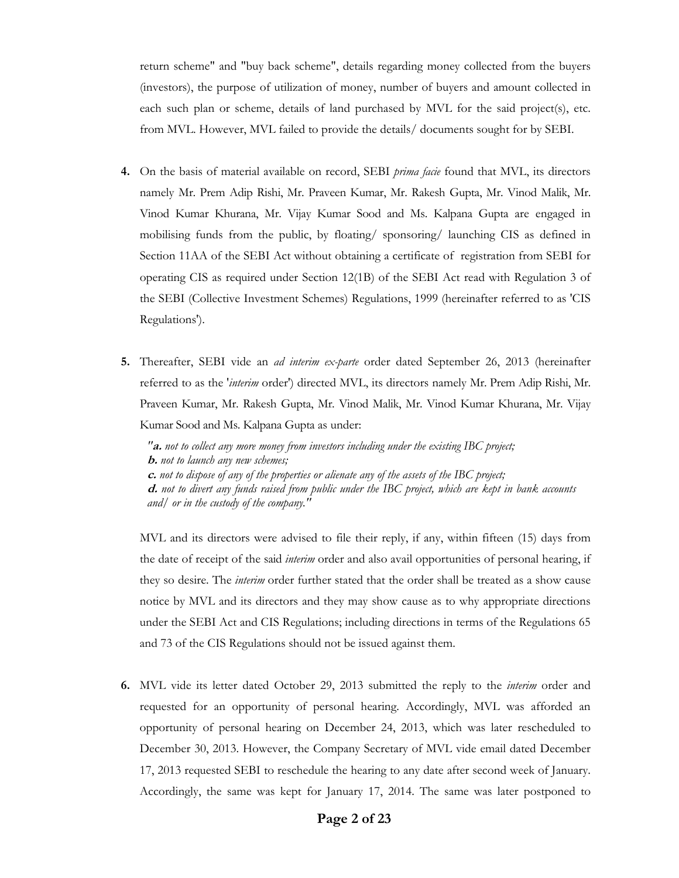return scheme" and "buy back scheme", details regarding money collected from the buyers (investors), the purpose of utilization of money, number of buyers and amount collected in each such plan or scheme, details of land purchased by MVL for the said project(s), etc. from MVL. However, MVL failed to provide the details/ documents sought for by SEBI.

- **4.** On the basis of material available on record, SEBI *prima facie* found that MVL, its directors namely Mr. Prem Adip Rishi, Mr. Praveen Kumar, Mr. Rakesh Gupta, Mr. Vinod Malik, Mr. Vinod Kumar Khurana, Mr. Vijay Kumar Sood and Ms. Kalpana Gupta are engaged in mobilising funds from the public, by floating/ sponsoring/ launching CIS as defined in Section 11AA of the SEBI Act without obtaining a certificate of registration from SEBI for operating CIS as required under Section 12(1B) of the SEBI Act read with Regulation 3 of the SEBI (Collective Investment Schemes) Regulations, 1999 (hereinafter referred to as 'CIS Regulations').
- **5.** Thereafter, SEBI vide an *ad interim ex-parte* order dated September 26, 2013 (hereinafter referred to as the '*interim* order') directed MVL, its directors namely Mr. Prem Adip Rishi, Mr. Praveen Kumar, Mr. Rakesh Gupta, Mr. Vinod Malik, Mr. Vinod Kumar Khurana, Mr. Vijay Kumar Sood and Ms. Kalpana Gupta as under:

*"***a.** *not to collect any more money from investors including under the existing IBC project;*  **b.** *not to launch any new schemes;*  **c.** *not to dispose of any of the properties or alienate any of the assets of the IBC project;*  **d.** *not to divert any funds raised from public under the IBC project, which are kept in bank accounts and/ or in the custody of the company."* 

MVL and its directors were advised to file their reply, if any, within fifteen (15) days from the date of receipt of the said *interim* order and also avail opportunities of personal hearing, if they so desire. The *interim* order further stated that the order shall be treated as a show cause notice by MVL and its directors and they may show cause as to why appropriate directions under the SEBI Act and CIS Regulations; including directions in terms of the Regulations 65 and 73 of the CIS Regulations should not be issued against them.

**6.** MVL vide its letter dated October 29, 2013 submitted the reply to the *interim* order and requested for an opportunity of personal hearing. Accordingly, MVL was afforded an opportunity of personal hearing on December 24, 2013, which was later rescheduled to December 30, 2013. However, the Company Secretary of MVL vide email dated December 17, 2013 requested SEBI to reschedule the hearing to any date after second week of January. Accordingly, the same was kept for January 17, 2014. The same was later postponed to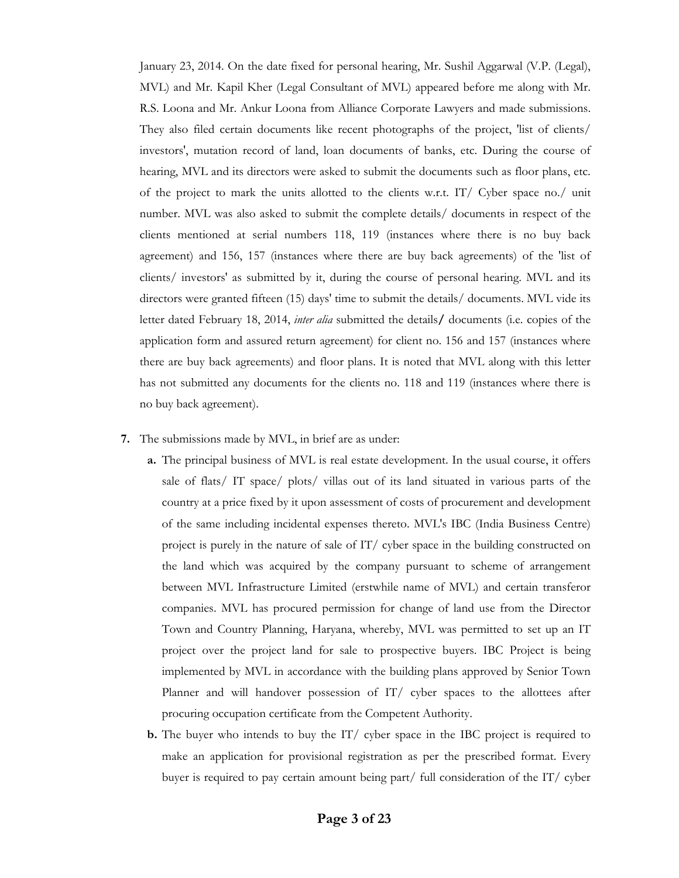January 23, 2014. On the date fixed for personal hearing, Mr. Sushil Aggarwal (V.P. (Legal), MVL) and Mr. Kapil Kher (Legal Consultant of MVL) appeared before me along with Mr. R.S. Loona and Mr. Ankur Loona from Alliance Corporate Lawyers and made submissions. They also filed certain documents like recent photographs of the project, 'list of clients/ investors', mutation record of land, loan documents of banks, etc. During the course of hearing, MVL and its directors were asked to submit the documents such as floor plans, etc. of the project to mark the units allotted to the clients w.r.t. IT/ Cyber space no./ unit number. MVL was also asked to submit the complete details/ documents in respect of the clients mentioned at serial numbers 118, 119 (instances where there is no buy back agreement) and 156, 157 (instances where there are buy back agreements) of the 'list of clients/ investors' as submitted by it, during the course of personal hearing. MVL and its directors were granted fifteen (15) days' time to submit the details/ documents. MVL vide its letter dated February 18, 2014, *inter alia* submitted the details**/** documents (i.e. copies of the application form and assured return agreement) for client no. 156 and 157 (instances where there are buy back agreements) and floor plans. It is noted that MVL along with this letter has not submitted any documents for the clients no. 118 and 119 (instances where there is no buy back agreement).

- **7.** The submissions made by MVL, in brief are as under:
	- **a.** The principal business of MVL is real estate development. In the usual course, it offers sale of flats/ IT space/ plots/ villas out of its land situated in various parts of the country at a price fixed by it upon assessment of costs of procurement and development of the same including incidental expenses thereto. MVL's IBC (India Business Centre) project is purely in the nature of sale of IT/ cyber space in the building constructed on the land which was acquired by the company pursuant to scheme of arrangement between MVL Infrastructure Limited (erstwhile name of MVL) and certain transferor companies. MVL has procured permission for change of land use from the Director Town and Country Planning, Haryana, whereby, MVL was permitted to set up an IT project over the project land for sale to prospective buyers. IBC Project is being implemented by MVL in accordance with the building plans approved by Senior Town Planner and will handover possession of IT/ cyber spaces to the allottees after procuring occupation certificate from the Competent Authority.
	- **b.** The buyer who intends to buy the IT/ cyber space in the IBC project is required to make an application for provisional registration as per the prescribed format. Every buyer is required to pay certain amount being part/ full consideration of the IT/ cyber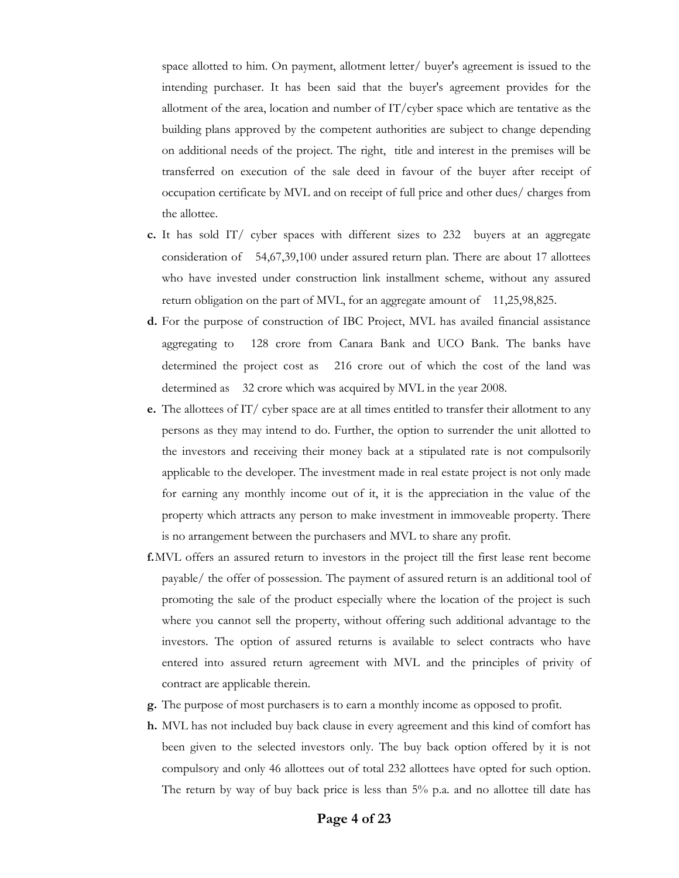space allotted to him. On payment, allotment letter/ buyer's agreement is issued to the intending purchaser. It has been said that the buyer's agreement provides for the allotment of the area, location and number of IT/cyber space which are tentative as the building plans approved by the competent authorities are subject to change depending on additional needs of the project. The right, title and interest in the premises will be transferred on execution of the sale deed in favour of the buyer after receipt of occupation certificate by MVL and on receipt of full price and other dues/ charges from the allottee.

- **c.** It has sold IT/ cyber spaces with different sizes to 232 buyers at an aggregate consideration of 54,67,39,100 under assured return plan. There are about 17 allottees who have invested under construction link installment scheme, without any assured return obligation on the part of MVL, for an aggregate amount of 11,25,98,825.
- **d.** For the purpose of construction of IBC Project, MVL has availed financial assistance aggregating to 128 crore from Canara Bank and UCO Bank. The banks have determined the project cost as 216 crore out of which the cost of the land was determined as 32 crore which was acquired by MVL in the year 2008.
- **e.** The allottees of IT/ cyber space are at all times entitled to transfer their allotment to any persons as they may intend to do. Further, the option to surrender the unit allotted to the investors and receiving their money back at a stipulated rate is not compulsorily applicable to the developer. The investment made in real estate project is not only made for earning any monthly income out of it, it is the appreciation in the value of the property which attracts any person to make investment in immoveable property. There is no arrangement between the purchasers and MVL to share any profit.
- **f.**MVL offers an assured return to investors in the project till the first lease rent become payable/ the offer of possession. The payment of assured return is an additional tool of promoting the sale of the product especially where the location of the project is such where you cannot sell the property, without offering such additional advantage to the investors. The option of assured returns is available to select contracts who have entered into assured return agreement with MVL and the principles of privity of contract are applicable therein.
- **g.** The purpose of most purchasers is to earn a monthly income as opposed to profit.
- **h.** MVL has not included buy back clause in every agreement and this kind of comfort has been given to the selected investors only. The buy back option offered by it is not compulsory and only 46 allottees out of total 232 allottees have opted for such option. The return by way of buy back price is less than 5% p.a. and no allottee till date has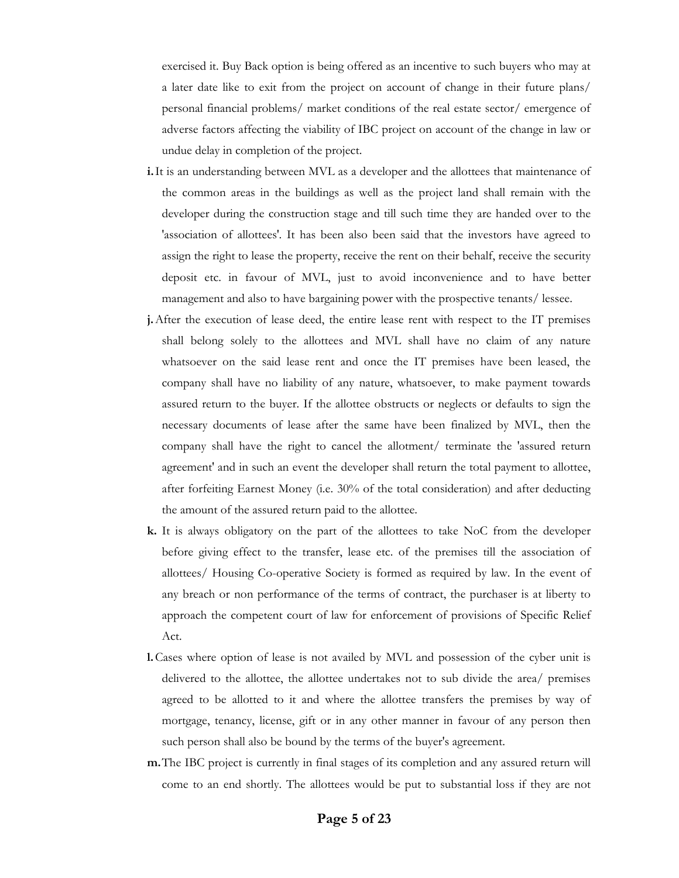exercised it. Buy Back option is being offered as an incentive to such buyers who may at a later date like to exit from the project on account of change in their future plans/ personal financial problems/ market conditions of the real estate sector/ emergence of adverse factors affecting the viability of IBC project on account of the change in law or undue delay in completion of the project.

- **i.**It is an understanding between MVL as a developer and the allottees that maintenance of the common areas in the buildings as well as the project land shall remain with the developer during the construction stage and till such time they are handed over to the 'association of allottees'. It has been also been said that the investors have agreed to assign the right to lease the property, receive the rent on their behalf, receive the security deposit etc. in favour of MVL, just to avoid inconvenience and to have better management and also to have bargaining power with the prospective tenants/ lessee.
- **j.**After the execution of lease deed, the entire lease rent with respect to the IT premises shall belong solely to the allottees and MVL shall have no claim of any nature whatsoever on the said lease rent and once the IT premises have been leased, the company shall have no liability of any nature, whatsoever, to make payment towards assured return to the buyer. If the allottee obstructs or neglects or defaults to sign the necessary documents of lease after the same have been finalized by MVL, then the company shall have the right to cancel the allotment/ terminate the 'assured return agreement' and in such an event the developer shall return the total payment to allottee, after forfeiting Earnest Money (i.e. 30% of the total consideration) and after deducting the amount of the assured return paid to the allottee.
- **k.** It is always obligatory on the part of the allottees to take NoC from the developer before giving effect to the transfer, lease etc. of the premises till the association of allottees/ Housing Co-operative Society is formed as required by law. In the event of any breach or non performance of the terms of contract, the purchaser is at liberty to approach the competent court of law for enforcement of provisions of Specific Relief Act.
- **l.**Cases where option of lease is not availed by MVL and possession of the cyber unit is delivered to the allottee, the allottee undertakes not to sub divide the area/ premises agreed to be allotted to it and where the allottee transfers the premises by way of mortgage, tenancy, license, gift or in any other manner in favour of any person then such person shall also be bound by the terms of the buyer's agreement.
- **m.**The IBC project is currently in final stages of its completion and any assured return will come to an end shortly. The allottees would be put to substantial loss if they are not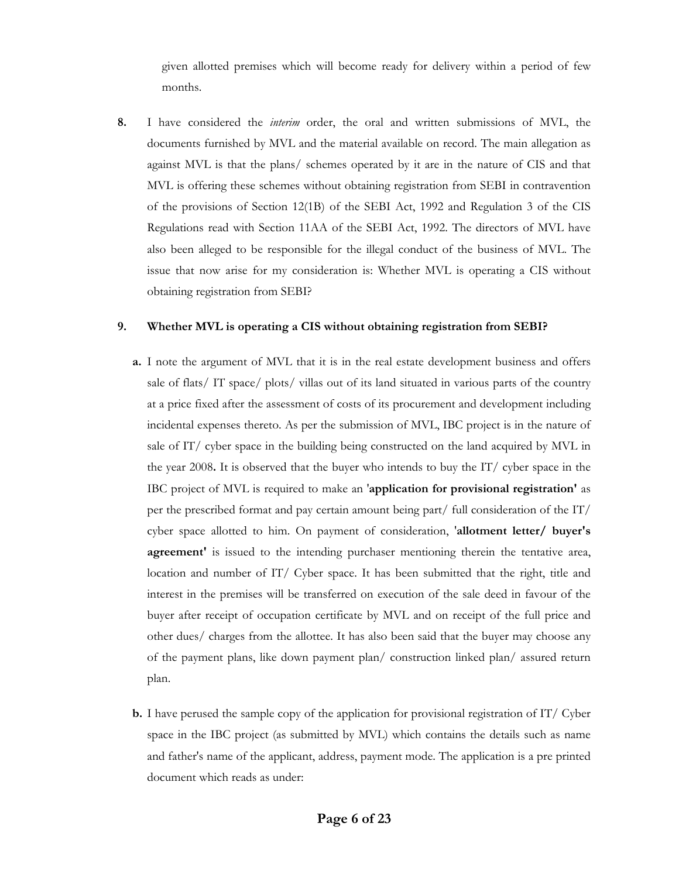given allotted premises which will become ready for delivery within a period of few months.

**8.** I have considered the *interim* order, the oral and written submissions of MVL, the documents furnished by MVL and the material available on record. The main allegation as against MVL is that the plans/ schemes operated by it are in the nature of CIS and that MVL is offering these schemes without obtaining registration from SEBI in contravention of the provisions of Section 12(1B) of the SEBI Act, 1992 and Regulation 3 of the CIS Regulations read with Section 11AA of the SEBI Act, 1992. The directors of MVL have also been alleged to be responsible for the illegal conduct of the business of MVL. The issue that now arise for my consideration is: Whether MVL is operating a CIS without obtaining registration from SEBI?

### **9. Whether MVL is operating a CIS without obtaining registration from SEBI?**

- **a.** I note the argument of MVL that it is in the real estate development business and offers sale of flats/ IT space/ plots/ villas out of its land situated in various parts of the country at a price fixed after the assessment of costs of its procurement and development including incidental expenses thereto. As per the submission of MVL, IBC project is in the nature of sale of IT/ cyber space in the building being constructed on the land acquired by MVL in the year 2008**.** It is observed that the buyer who intends to buy the IT/ cyber space in the IBC project of MVL is required to make an '**application for provisional registration'** as per the prescribed format and pay certain amount being part/ full consideration of the IT/ cyber space allotted to him. On payment of consideration, '**allotment letter/ buyer's agreement'** is issued to the intending purchaser mentioning therein the tentative area, location and number of IT/ Cyber space. It has been submitted that the right, title and interest in the premises will be transferred on execution of the sale deed in favour of the buyer after receipt of occupation certificate by MVL and on receipt of the full price and other dues/ charges from the allottee. It has also been said that the buyer may choose any of the payment plans, like down payment plan/ construction linked plan/ assured return plan.
- **b.** I have perused the sample copy of the application for provisional registration of IT/ Cyber space in the IBC project (as submitted by MVL) which contains the details such as name and father's name of the applicant, address, payment mode. The application is a pre printed document which reads as under: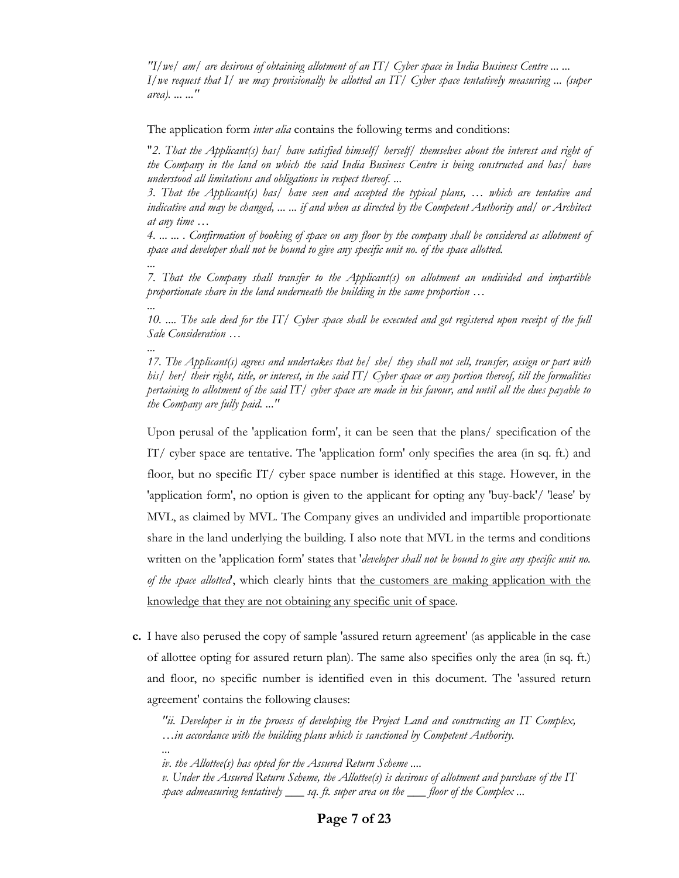*"I/we/ am/ are desirous of obtaining allotment of an IT/ Cyber space in India Business Centre ... ... I/we request that I/ we may provisionally be allotted an IT/ Cyber space tentatively measuring ... (super area). ... ..."* 

The application form *inter alia* contains the following terms and conditions:

*...* 

*...* 

*...* 

"*2. That the Applicant(s) has/ have satisfied himself/ herself/ themselves about the interest and right of the Company in the land on which the said India Business Centre is being constructed and has/ have understood all limitations and obligations in respect thereof. ...* 

*3. That the Applicant(s) has/ have seen and accepted the typical plans, … which are tentative and indicative and may be changed, ... ... if and when as directed by the Competent Authority and/ or Architect at any time …* 

*4. ... ... . Confirmation of booking of space on any floor by the company shall be considered as allotment of space and developer shall not be bound to give any specific unit no. of the space allotted.* 

*7. That the Company shall transfer to the Applicant(s) on allotment an undivided and impartible proportionate share in the land underneath the building in the same proportion …* 

*10. .... The sale deed for the IT/ Cyber space shall be executed and got registered upon receipt of the full Sale Consideration …* 

*... 17. The Applicant(s) agrees and undertakes that he/ she/ they shall not sell, transfer, assign or part with his/ her/ their right, title, or interest, in the said IT/ Cyber space or any portion thereof, till the formalities pertaining to allotment of the said IT/ cyber space are made in his favour, and until all the dues payable to the Company are fully paid. ..."* 

Upon perusal of the 'application form', it can be seen that the plans/ specification of the IT/ cyber space are tentative. The 'application form' only specifies the area (in sq. ft.) and floor, but no specific IT/ cyber space number is identified at this stage. However, in the 'application form', no option is given to the applicant for opting any 'buy-back'/ 'lease' by MVL, as claimed by MVL. The Company gives an undivided and impartible proportionate share in the land underlying the building. I also note that MVL in the terms and conditions written on the 'application form' states that '*developer shall not be bound to give any specific unit no. of the space allotted*', which clearly hints that the customers are making application with the knowledge that they are not obtaining any specific unit of space.

**c.** I have also perused the copy of sample 'assured return agreement' (as applicable in the case of allottee opting for assured return plan). The same also specifies only the area (in sq. ft.) and floor, no specific number is identified even in this document. The 'assured return agreement' contains the following clauses:

*"ii. Developer is in the process of developing the Project Land and constructing an IT Complex, …in accordance with the building plans which is sanctioned by Competent Authority.* 

*iv. the Allottee(s) has opted for the Assured Return Scheme ....* 

*v. Under the Assured Return Scheme, the Allottee(s) is desirous of allotment and purchase of the IT space admeasuring tentatively \_\_\_ sq. ft. super area on the \_\_\_ floor of the Complex ...*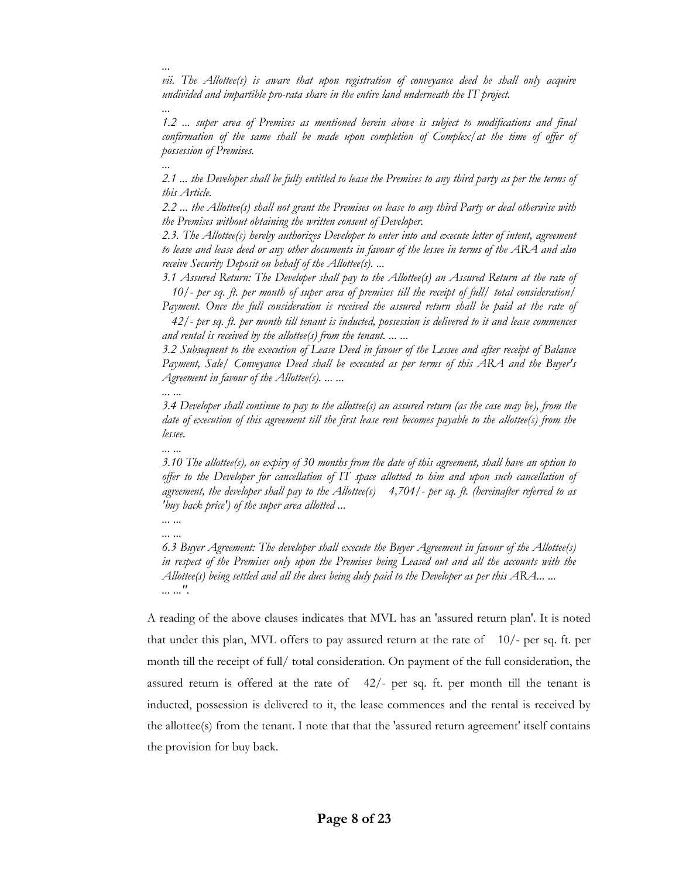*vii. The Allottee(s) is aware that upon registration of conveyance deed he shall only acquire undivided and impartible pro-rata share in the entire land underneath the IT project.* 

*1.2 ... super area of Premises as mentioned herein above is subject to modifications and final confirmation of the same shall be made upon completion of Complex/at the time of offer of possession of Premises.* 

*... 2.1 ... the Developer shall be fully entitled to lease the Premises to any third party as per the terms of this Article.* 

*2.2 ... the Allottee(s) shall not grant the Premises on lease to any third Party or deal otherwise with the Premises without obtaining the written consent of Developer.* 

*2.3. The Allottee(s) hereby authorizes Developer to enter into and execute letter of intent, agreement to lease and lease deed or any other documents in favour of the lessee in terms of the ARA and also receive Security Deposit on behalf of the Allottee(s). ...* 

*3.1 Assured Return: The Developer shall pay to the Allottee(s) an Assured Return at the rate of 10/- per sq. ft. per month of super area of premises till the receipt of full/ total consideration/* 

*Payment. Once the full consideration is received the assured return shall be paid at the rate of 42/- per sq. ft. per month till tenant is inducted, possession is delivered to it and lease commences and rental is received by the allottee(s) from the tenant. ... ...* 

*3.2 Subsequent to the execution of Lease Deed in favour of the Lessee and after receipt of Balance Payment, Sale/ Conveyance Deed shall be executed as per terms of this ARA and the Buyer's Agreement in favour of the Allottee(s). ... ...* 

*3.4 Developer shall continue to pay to the allottee(s) an assured return (as the case may be), from the date of execution of this agreement till the first lease rent becomes payable to the allottee(s) from the lessee.* 

*3.10 The allottee(s), on expiry of 30 months from the date of this agreement, shall have an option to offer to the Developer for cancellation of IT space allotted to him and upon such cancellation of agreement, the developer shall pay to the Allottee(s) 4,704/- per sq. ft. (hereinafter referred to as 'buy back price') of the super area allotted ...* 

*... ... ... ...* 

*... ...* 

*... ...* 

*...* 

*...* 

*6.3 Buyer Agreement: The developer shall execute the Buyer Agreement in favour of the Allottee(s) in respect of the Premises only upon the Premises being Leased out and all the accounts with the Allottee(s) being settled and all the dues being duly paid to the Developer as per this ARA... ... ... ...".* 

A reading of the above clauses indicates that MVL has an 'assured return plan'. It is noted that under this plan, MVL offers to pay assured return at the rate of 10/- per sq. ft. per month till the receipt of full/ total consideration. On payment of the full consideration, the assured return is offered at the rate of  $42/-$  per sq. ft. per month till the tenant is inducted, possession is delivered to it, the lease commences and the rental is received by the allottee(s) from the tenant. I note that that the 'assured return agreement' itself contains the provision for buy back.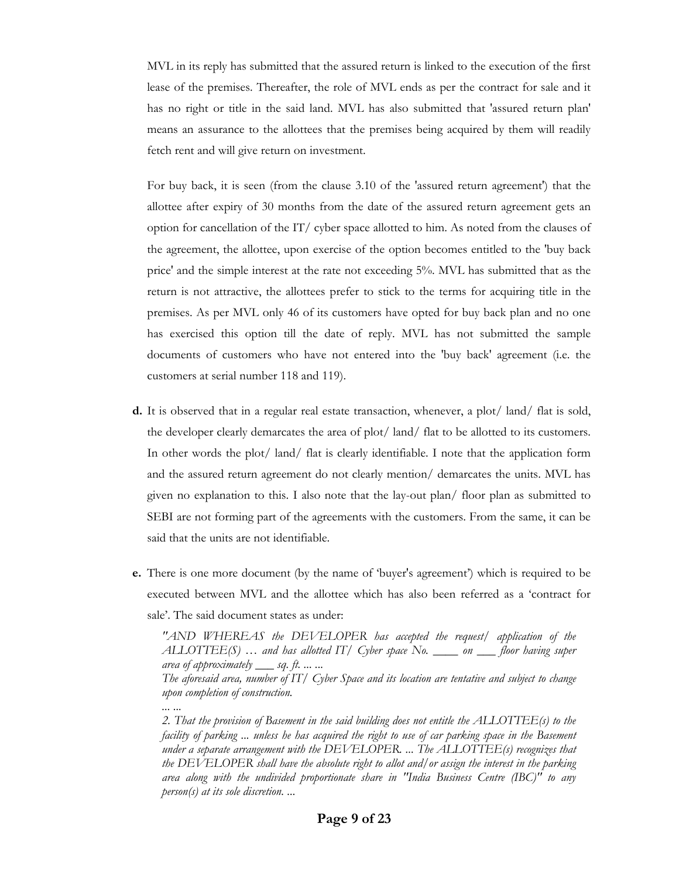MVL in its reply has submitted that the assured return is linked to the execution of the first lease of the premises. Thereafter, the role of MVL ends as per the contract for sale and it has no right or title in the said land. MVL has also submitted that 'assured return plan' means an assurance to the allottees that the premises being acquired by them will readily fetch rent and will give return on investment.

For buy back, it is seen (from the clause 3.10 of the 'assured return agreement') that the allottee after expiry of 30 months from the date of the assured return agreement gets an option for cancellation of the IT/ cyber space allotted to him. As noted from the clauses of the agreement, the allottee, upon exercise of the option becomes entitled to the 'buy back price' and the simple interest at the rate not exceeding 5%. MVL has submitted that as the return is not attractive, the allottees prefer to stick to the terms for acquiring title in the premises. As per MVL only 46 of its customers have opted for buy back plan and no one has exercised this option till the date of reply. MVL has not submitted the sample documents of customers who have not entered into the 'buy back' agreement (i.e. the customers at serial number 118 and 119).

- **d.** It is observed that in a regular real estate transaction, whenever, a plot/ land/ flat is sold, the developer clearly demarcates the area of plot/ land/ flat to be allotted to its customers. In other words the plot/ land/ flat is clearly identifiable. I note that the application form and the assured return agreement do not clearly mention/ demarcates the units. MVL has given no explanation to this. I also note that the lay-out plan/ floor plan as submitted to SEBI are not forming part of the agreements with the customers. From the same, it can be said that the units are not identifiable.
- **e.** There is one more document (by the name of 'buyer's agreement') which is required to be executed between MVL and the allottee which has also been referred as a 'contract for sale'. The said document states as under:

*"AND WHEREAS the DEVELOPER has accepted the request/ application of the ALLOTTEE(S) … and has allotted IT/ Cyber space No. \_\_\_\_ on \_\_\_ floor having super area of approximately \_\_\_ sq. ft. ... ... The aforesaid area, number of IT/ Cyber Space and its location are tentative and subject to change* 

*... ...* 

*upon completion of construction.* 

*<sup>2.</sup> That the provision of Basement in the said building does not entitle the ALLOTTEE(s) to the facility of parking ... unless he has acquired the right to use of car parking space in the Basement under a separate arrangement with the DEVELOPER. ... The ALLOTTEE(s) recognizes that the DEVELOPER shall have the absolute right to allot and/or assign the interest in the parking area along with the undivided proportionate share in "India Business Centre (IBC)" to any person(s) at its sole discretion. ...*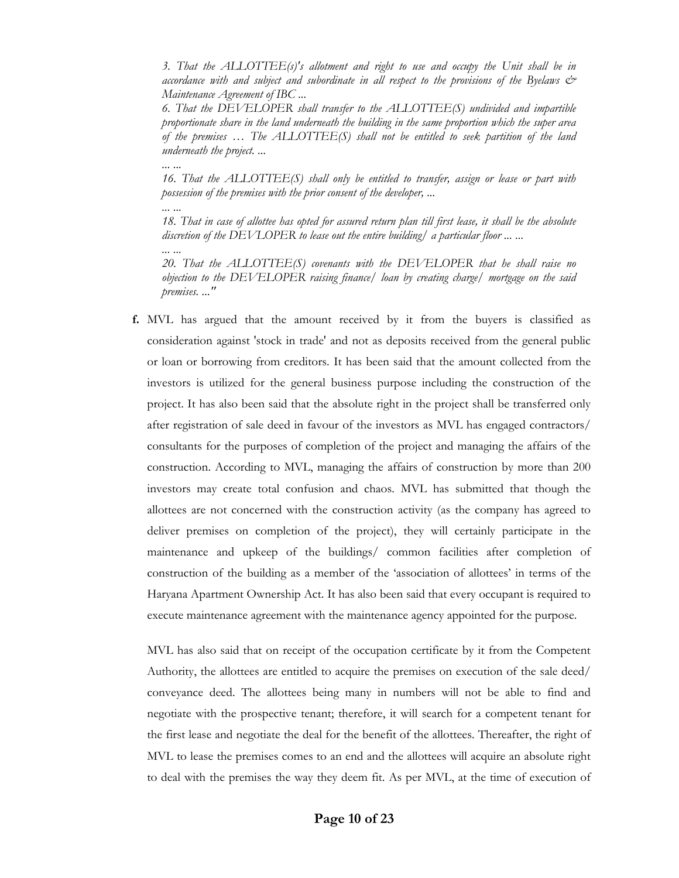*3. That the ALLOTTEE(s)'s allotment and right to use and occupy the Unit shall be in accordance with and subject and subordinate in all respect to the provisions of the Byelaws & Maintenance Agreement of IBC ...* 

*6. That the DEVELOPER shall transfer to the ALLOTTEE(S) undivided and impartible proportionate share in the land underneath the building in the same proportion which the super area of the premises … The ALLOTTEE(S) shall not be entitled to seek partition of the land underneath the project. ...* 

*16. That the ALLOTTEE(S) shall only be entitled to transfer, assign or lease or part with possession of the premises with the prior consent of the developer, ...* 

*... ...* 

*... ...* 

*... ... 18. That in case of allottee has opted for assured return plan till first lease, it shall be the absolute discretion of the DEVLOPER to lease out the entire building/ a particular floor ... ...* 

*20. That the ALLOTTEE(S) covenants with the DEVELOPER that he shall raise no objection to the DEVELOPER raising finance/ loan by creating charge/ mortgage on the said premises. ..."* 

**f.** MVL has argued that the amount received by it from the buyers is classified as consideration against 'stock in trade' and not as deposits received from the general public or loan or borrowing from creditors. It has been said that the amount collected from the investors is utilized for the general business purpose including the construction of the project. It has also been said that the absolute right in the project shall be transferred only after registration of sale deed in favour of the investors as MVL has engaged contractors/ consultants for the purposes of completion of the project and managing the affairs of the construction. According to MVL, managing the affairs of construction by more than 200 investors may create total confusion and chaos. MVL has submitted that though the allottees are not concerned with the construction activity (as the company has agreed to deliver premises on completion of the project), they will certainly participate in the maintenance and upkeep of the buildings/ common facilities after completion of construction of the building as a member of the 'association of allottees' in terms of the Haryana Apartment Ownership Act. It has also been said that every occupant is required to execute maintenance agreement with the maintenance agency appointed for the purpose.

MVL has also said that on receipt of the occupation certificate by it from the Competent Authority, the allottees are entitled to acquire the premises on execution of the sale deed/ conveyance deed. The allottees being many in numbers will not be able to find and negotiate with the prospective tenant; therefore, it will search for a competent tenant for the first lease and negotiate the deal for the benefit of the allottees. Thereafter, the right of MVL to lease the premises comes to an end and the allottees will acquire an absolute right to deal with the premises the way they deem fit. As per MVL, at the time of execution of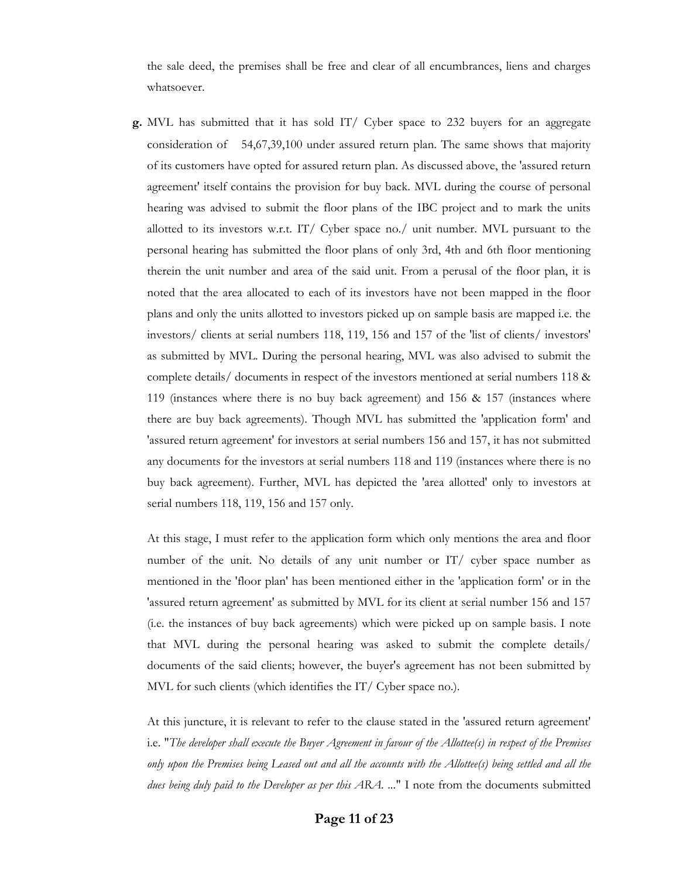the sale deed, the premises shall be free and clear of all encumbrances, liens and charges whatsoever.

**g.** MVL has submitted that it has sold IT/ Cyber space to 232 buyers for an aggregate consideration of 54,67,39,100 under assured return plan. The same shows that majority of its customers have opted for assured return plan. As discussed above, the 'assured return agreement' itself contains the provision for buy back. MVL during the course of personal hearing was advised to submit the floor plans of the IBC project and to mark the units allotted to its investors w.r.t. IT/ Cyber space no./ unit number. MVL pursuant to the personal hearing has submitted the floor plans of only 3rd, 4th and 6th floor mentioning therein the unit number and area of the said unit. From a perusal of the floor plan, it is noted that the area allocated to each of its investors have not been mapped in the floor plans and only the units allotted to investors picked up on sample basis are mapped i.e. the investors/ clients at serial numbers 118, 119, 156 and 157 of the 'list of clients/ investors' as submitted by MVL. During the personal hearing, MVL was also advised to submit the complete details/ documents in respect of the investors mentioned at serial numbers 118 & 119 (instances where there is no buy back agreement) and 156 & 157 (instances where there are buy back agreements). Though MVL has submitted the 'application form' and 'assured return agreement' for investors at serial numbers 156 and 157, it has not submitted any documents for the investors at serial numbers 118 and 119 (instances where there is no buy back agreement). Further, MVL has depicted the 'area allotted' only to investors at serial numbers 118, 119, 156 and 157 only.

At this stage, I must refer to the application form which only mentions the area and floor number of the unit. No details of any unit number or IT/ cyber space number as mentioned in the 'floor plan' has been mentioned either in the 'application form' or in the 'assured return agreement' as submitted by MVL for its client at serial number 156 and 157 (i.e. the instances of buy back agreements) which were picked up on sample basis. I note that MVL during the personal hearing was asked to submit the complete details/ documents of the said clients; however, the buyer's agreement has not been submitted by MVL for such clients (which identifies the IT/ Cyber space no.).

At this juncture, it is relevant to refer to the clause stated in the 'assured return agreement' i.e. "*The developer shall execute the Buyer Agreement in favour of the Allottee(s) in respect of the Premises only upon the Premises being Leased out and all the accounts with the Allottee(s) being settled and all the dues being duly paid to the Developer as per this ARA. ...*" I note from the documents submitted

### **Page 11 of 23**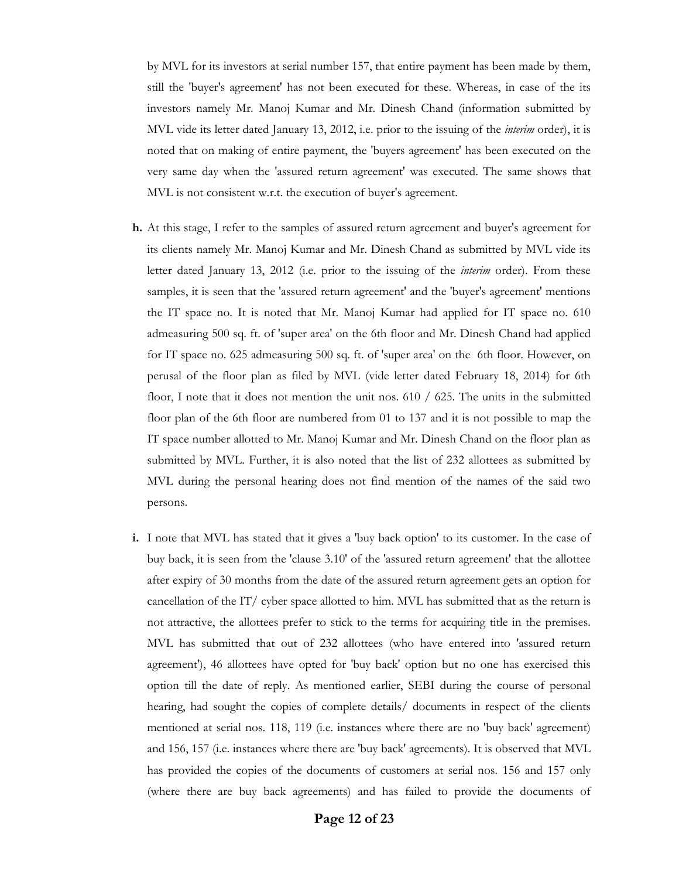by MVL for its investors at serial number 157, that entire payment has been made by them, still the 'buyer's agreement' has not been executed for these. Whereas, in case of the its investors namely Mr. Manoj Kumar and Mr. Dinesh Chand (information submitted by MVL vide its letter dated January 13, 2012, i.e. prior to the issuing of the *interim* order), it is noted that on making of entire payment, the 'buyers agreement' has been executed on the very same day when the 'assured return agreement' was executed. The same shows that MVL is not consistent w.r.t. the execution of buyer's agreement.

- **h.** At this stage, I refer to the samples of assured return agreement and buyer's agreement for its clients namely Mr. Manoj Kumar and Mr. Dinesh Chand as submitted by MVL vide its letter dated January 13, 2012 (i.e. prior to the issuing of the *interim* order). From these samples, it is seen that the 'assured return agreement' and the 'buyer's agreement' mentions the IT space no. It is noted that Mr. Manoj Kumar had applied for IT space no. 610 admeasuring 500 sq. ft. of 'super area' on the 6th floor and Mr. Dinesh Chand had applied for IT space no. 625 admeasuring 500 sq. ft. of 'super area' on the 6th floor. However, on perusal of the floor plan as filed by MVL (vide letter dated February 18, 2014) for 6th floor, I note that it does not mention the unit nos. 610 / 625. The units in the submitted floor plan of the 6th floor are numbered from 01 to 137 and it is not possible to map the IT space number allotted to Mr. Manoj Kumar and Mr. Dinesh Chand on the floor plan as submitted by MVL. Further, it is also noted that the list of 232 allottees as submitted by MVL during the personal hearing does not find mention of the names of the said two persons.
- **i.** I note that MVL has stated that it gives a 'buy back option' to its customer. In the case of buy back, it is seen from the 'clause 3.10' of the 'assured return agreement' that the allottee after expiry of 30 months from the date of the assured return agreement gets an option for cancellation of the IT/ cyber space allotted to him. MVL has submitted that as the return is not attractive, the allottees prefer to stick to the terms for acquiring title in the premises. MVL has submitted that out of 232 allottees (who have entered into 'assured return agreement'), 46 allottees have opted for 'buy back' option but no one has exercised this option till the date of reply. As mentioned earlier, SEBI during the course of personal hearing, had sought the copies of complete details/ documents in respect of the clients mentioned at serial nos. 118, 119 (i.e. instances where there are no 'buy back' agreement) and 156, 157 (i.e. instances where there are 'buy back' agreements). It is observed that MVL has provided the copies of the documents of customers at serial nos. 156 and 157 only (where there are buy back agreements) and has failed to provide the documents of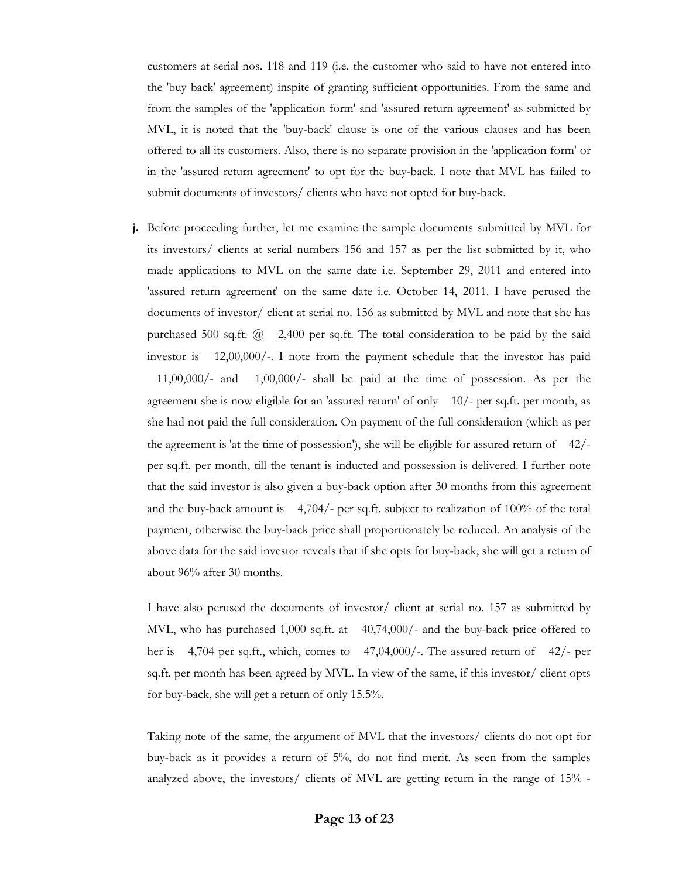customers at serial nos. 118 and 119 (i.e. the customer who said to have not entered into the 'buy back' agreement) inspite of granting sufficient opportunities. From the same and from the samples of the 'application form' and 'assured return agreement' as submitted by MVL, it is noted that the 'buy-back' clause is one of the various clauses and has been offered to all its customers. Also, there is no separate provision in the 'application form' or in the 'assured return agreement' to opt for the buy-back. I note that MVL has failed to submit documents of investors/ clients who have not opted for buy-back.

**j.** Before proceeding further, let me examine the sample documents submitted by MVL for its investors/ clients at serial numbers 156 and 157 as per the list submitted by it, who made applications to MVL on the same date i.e. September 29, 2011 and entered into 'assured return agreement' on the same date i.e. October 14, 2011. I have perused the documents of investor/ client at serial no. 156 as submitted by MVL and note that she has purchased 500 sq.ft. @ 2,400 per sq.ft. The total consideration to be paid by the said investor is 12,00,000/-. I note from the payment schedule that the investor has paid 11,00,000/- and 1,00,000/- shall be paid at the time of possession. As per the agreement she is now eligible for an 'assured return' of only 10/- per sq.ft. per month, as she had not paid the full consideration. On payment of the full consideration (which as per the agreement is 'at the time of possession'), she will be eligible for assured return of  $42/$ per sq.ft. per month, till the tenant is inducted and possession is delivered. I further note that the said investor is also given a buy-back option after 30 months from this agreement and the buy-back amount is 4,704/- per sq.ft. subject to realization of 100% of the total payment, otherwise the buy-back price shall proportionately be reduced. An analysis of the above data for the said investor reveals that if she opts for buy-back, she will get a return of about 96% after 30 months.

I have also perused the documents of investor/ client at serial no. 157 as submitted by MVL, who has purchased 1,000 sq.ft. at 40,74,000/- and the buy-back price offered to her is 4,704 per sq.ft., which, comes to 47,04,000/-. The assured return of 42/- per sq.ft. per month has been agreed by MVL. In view of the same, if this investor/ client opts for buy-back, she will get a return of only 15.5%.

Taking note of the same, the argument of MVL that the investors/ clients do not opt for buy-back as it provides a return of 5%, do not find merit. As seen from the samples analyzed above, the investors/ clients of MVL are getting return in the range of 15% -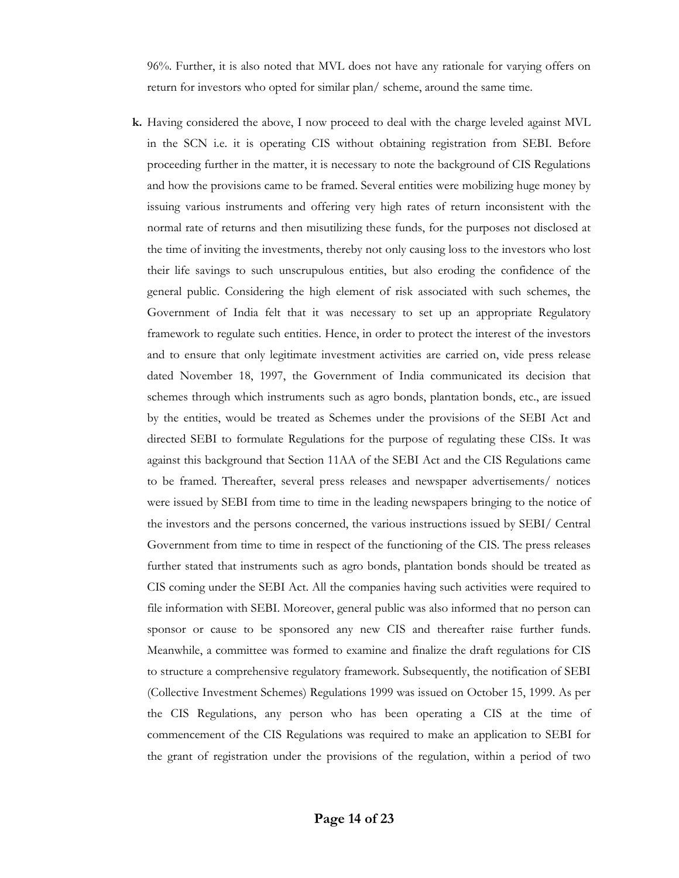96%. Further, it is also noted that MVL does not have any rationale for varying offers on return for investors who opted for similar plan/ scheme, around the same time.

**k.** Having considered the above, I now proceed to deal with the charge leveled against MVL in the SCN i.e. it is operating CIS without obtaining registration from SEBI. Before proceeding further in the matter, it is necessary to note the background of CIS Regulations and how the provisions came to be framed. Several entities were mobilizing huge money by issuing various instruments and offering very high rates of return inconsistent with the normal rate of returns and then misutilizing these funds, for the purposes not disclosed at the time of inviting the investments, thereby not only causing loss to the investors who lost their life savings to such unscrupulous entities, but also eroding the confidence of the general public. Considering the high element of risk associated with such schemes, the Government of India felt that it was necessary to set up an appropriate Regulatory framework to regulate such entities. Hence, in order to protect the interest of the investors and to ensure that only legitimate investment activities are carried on, vide press release dated November 18, 1997, the Government of India communicated its decision that schemes through which instruments such as agro bonds, plantation bonds, etc., are issued by the entities, would be treated as Schemes under the provisions of the SEBI Act and directed SEBI to formulate Regulations for the purpose of regulating these CISs. It was against this background that Section 11AA of the SEBI Act and the CIS Regulations came to be framed. Thereafter, several press releases and newspaper advertisements/ notices were issued by SEBI from time to time in the leading newspapers bringing to the notice of the investors and the persons concerned, the various instructions issued by SEBI/ Central Government from time to time in respect of the functioning of the CIS. The press releases further stated that instruments such as agro bonds, plantation bonds should be treated as CIS coming under the SEBI Act. All the companies having such activities were required to file information with SEBI. Moreover, general public was also informed that no person can sponsor or cause to be sponsored any new CIS and thereafter raise further funds. Meanwhile, a committee was formed to examine and finalize the draft regulations for CIS to structure a comprehensive regulatory framework. Subsequently, the notification of SEBI (Collective Investment Schemes) Regulations 1999 was issued on October 15, 1999. As per the CIS Regulations, any person who has been operating a CIS at the time of commencement of the CIS Regulations was required to make an application to SEBI for the grant of registration under the provisions of the regulation, within a period of two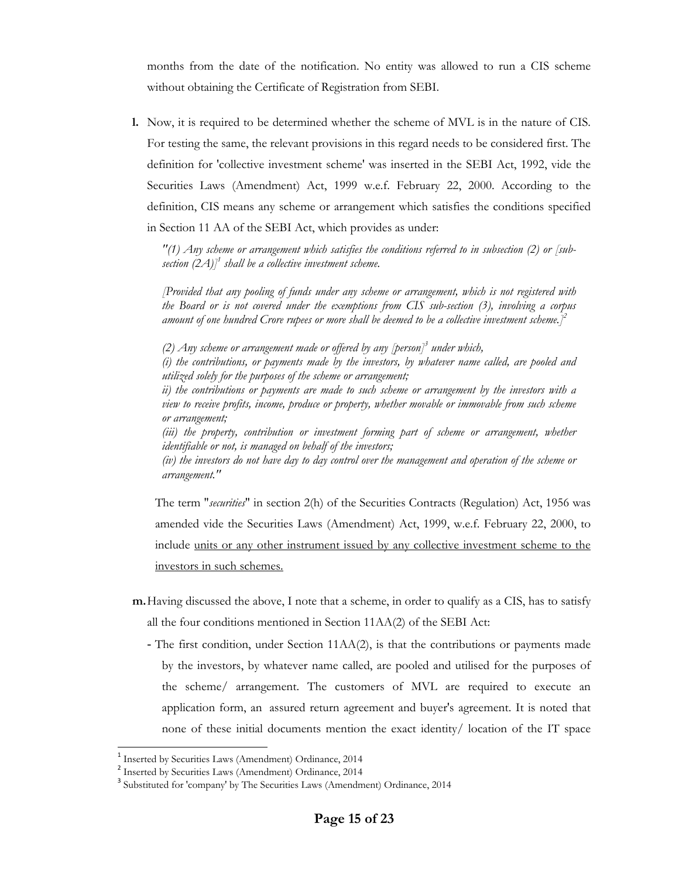months from the date of the notification. No entity was allowed to run a CIS scheme without obtaining the Certificate of Registration from SEBI.

**l.** Now, it is required to be determined whether the scheme of MVL is in the nature of CIS. For testing the same, the relevant provisions in this regard needs to be considered first. The definition for 'collective investment scheme' was inserted in the SEBI Act, 1992, vide the Securities Laws (Amendment) Act, 1999 w.e.f. February 22, 2000. According to the definition, CIS means any scheme or arrangement which satisfies the conditions specified in Section 11 AA of the SEBI Act, which provides as under:

*"(1) Any scheme or arrangement which satisfies the conditions referred to in subsection (2) or [subsection (2A)]<sup>1</sup> shall be a collective investment scheme.* 

*[Provided that any pooling of funds under any scheme or arrangement, which is not registered with the Board or is not covered under the exemptions from CIS sub-section (3), involving a corpus amount of one hundred Crore rupees or more shall be deemed to be a collective investment scheme.]2*

*(2) Any scheme or arrangement made or offered by any [person]3 under which,* 

*(i) the contributions, or payments made by the investors, by whatever name called, are pooled and utilized solely for the purposes of the scheme or arrangement;* 

*ii) the contributions or payments are made to such scheme or arrangement by the investors with a view to receive profits, income, produce or property, whether movable or immovable from such scheme or arrangement;* 

*(iii) the property, contribution or investment forming part of scheme or arrangement, whether identifiable or not, is managed on behalf of the investors;* 

*(iv) the investors do not have day to day control over the management and operation of the scheme or arrangement."* 

The term "*securities*" in section 2(h) of the Securities Contracts (Regulation) Act, 1956 was amended vide the Securities Laws (Amendment) Act, 1999, w.e.f. February 22, 2000, to include units or any other instrument issued by any collective investment scheme to the investors in such schemes.

- **m.**Having discussed the above, I note that a scheme, in order to qualify as a CIS, has to satisfy all the four conditions mentioned in Section 11AA(2) of the SEBI Act:
	- The first condition, under Section 11AA(2), is that the contributions or payments made by the investors, by whatever name called, are pooled and utilised for the purposes of the scheme/ arrangement. The customers of MVL are required to execute an application form, an assured return agreement and buyer's agreement. It is noted that none of these initial documents mention the exact identity/ location of the IT space

<sup>1</sup> Inserted by Securities Laws (Amendment) Ordinance, 2014

<sup>2</sup> Inserted by Securities Laws (Amendment) Ordinance, 2014

<sup>3</sup> Substituted for 'company' by The Securities Laws (Amendment) Ordinance, 2014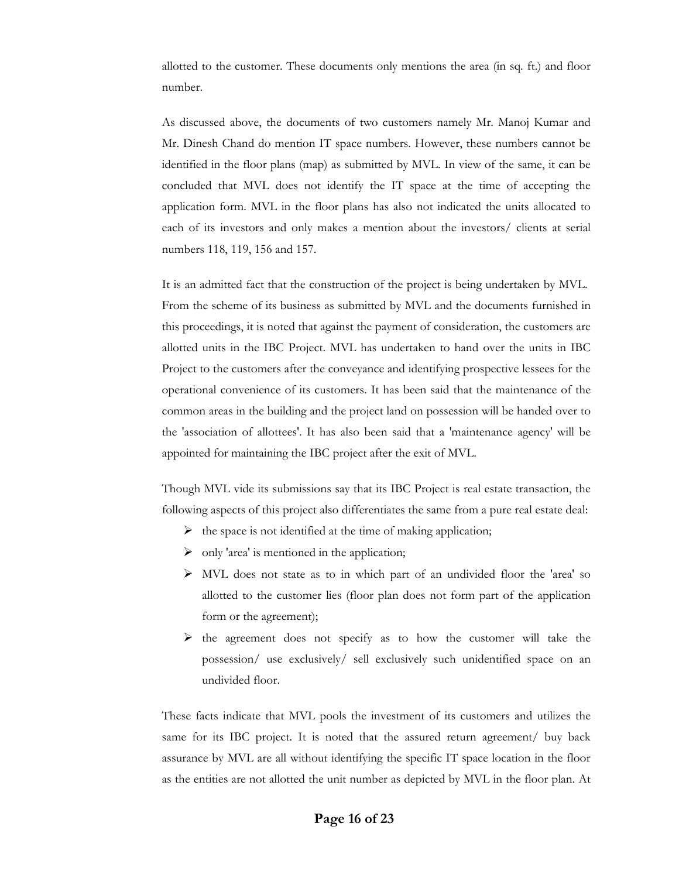allotted to the customer. These documents only mentions the area (in sq. ft.) and floor number.

As discussed above, the documents of two customers namely Mr. Manoj Kumar and Mr. Dinesh Chand do mention IT space numbers. However, these numbers cannot be identified in the floor plans (map) as submitted by MVL. In view of the same, it can be concluded that MVL does not identify the IT space at the time of accepting the application form. MVL in the floor plans has also not indicated the units allocated to each of its investors and only makes a mention about the investors/ clients at serial numbers 118, 119, 156 and 157.

It is an admitted fact that the construction of the project is being undertaken by MVL. From the scheme of its business as submitted by MVL and the documents furnished in this proceedings, it is noted that against the payment of consideration, the customers are allotted units in the IBC Project. MVL has undertaken to hand over the units in IBC Project to the customers after the conveyance and identifying prospective lessees for the operational convenience of its customers. It has been said that the maintenance of the common areas in the building and the project land on possession will be handed over to the 'association of allottees'. It has also been said that a 'maintenance agency' will be appointed for maintaining the IBC project after the exit of MVL.

Though MVL vide its submissions say that its IBC Project is real estate transaction, the following aspects of this project also differentiates the same from a pure real estate deal:

- $\triangleright$  the space is not identified at the time of making application;
- $\triangleright$  only 'area' is mentioned in the application;
- ¾ MVL does not state as to in which part of an undivided floor the 'area' so allotted to the customer lies (floor plan does not form part of the application form or the agreement);
- $\triangleright$  the agreement does not specify as to how the customer will take the possession/ use exclusively/ sell exclusively such unidentified space on an undivided floor.

These facts indicate that MVL pools the investment of its customers and utilizes the same for its IBC project. It is noted that the assured return agreement/ buy back assurance by MVL are all without identifying the specific IT space location in the floor as the entities are not allotted the unit number as depicted by MVL in the floor plan. At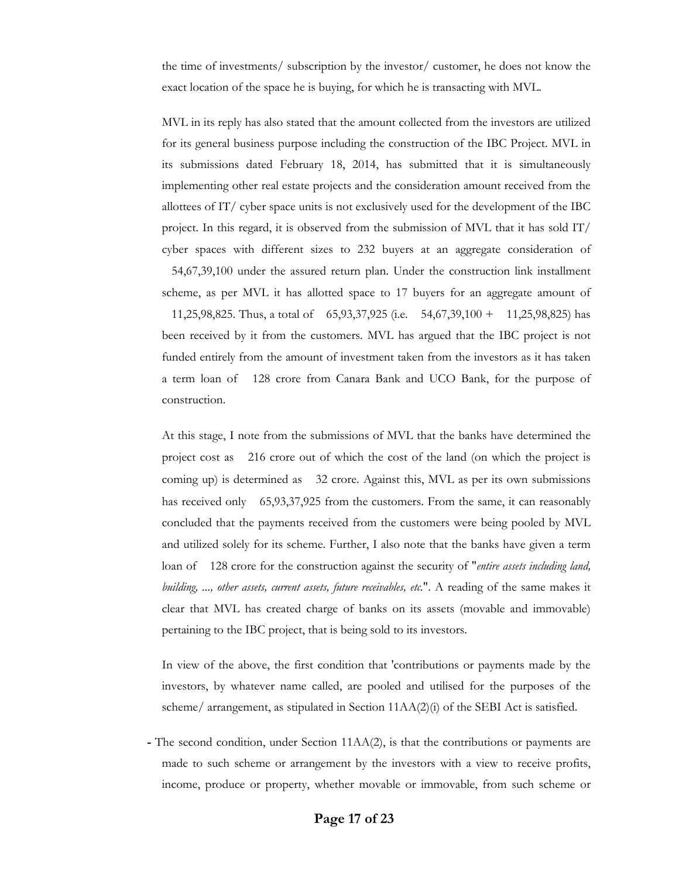the time of investments/ subscription by the investor/ customer, he does not know the exact location of the space he is buying, for which he is transacting with MVL.

MVL in its reply has also stated that the amount collected from the investors are utilized for its general business purpose including the construction of the IBC Project. MVL in its submissions dated February 18, 2014, has submitted that it is simultaneously implementing other real estate projects and the consideration amount received from the allottees of IT/ cyber space units is not exclusively used for the development of the IBC project. In this regard, it is observed from the submission of MVL that it has sold IT/ cyber spaces with different sizes to 232 buyers at an aggregate consideration of

54,67,39,100 under the assured return plan. Under the construction link installment scheme, as per MVL it has allotted space to 17 buyers for an aggregate amount of 11,25,98,825. Thus, a total of 65,93,37,925 (i.e. 54,67,39,100 + 11,25,98,825) has been received by it from the customers. MVL has argued that the IBC project is not funded entirely from the amount of investment taken from the investors as it has taken a term loan of 128 crore from Canara Bank and UCO Bank, for the purpose of construction.

At this stage, I note from the submissions of MVL that the banks have determined the project cost as 216 crore out of which the cost of the land (on which the project is coming up) is determined as 32 crore. Against this, MVL as per its own submissions has received only 65,93,37,925 from the customers. From the same, it can reasonably concluded that the payments received from the customers were being pooled by MVL and utilized solely for its scheme. Further, I also note that the banks have given a term loan of 128 crore for the construction against the security of "*entire assets including land, building, ..., other assets, current assets, future receivables, etc.*". A reading of the same makes it clear that MVL has created charge of banks on its assets (movable and immovable) pertaining to the IBC project, that is being sold to its investors.

In view of the above, the first condition that 'contributions or payments made by the investors, by whatever name called, are pooled and utilised for the purposes of the scheme/ arrangement, as stipulated in Section 11AA(2)(i) of the SEBI Act is satisfied.

**-** The second condition, under Section 11AA(2), is that the contributions or payments are made to such scheme or arrangement by the investors with a view to receive profits, income, produce or property, whether movable or immovable, from such scheme or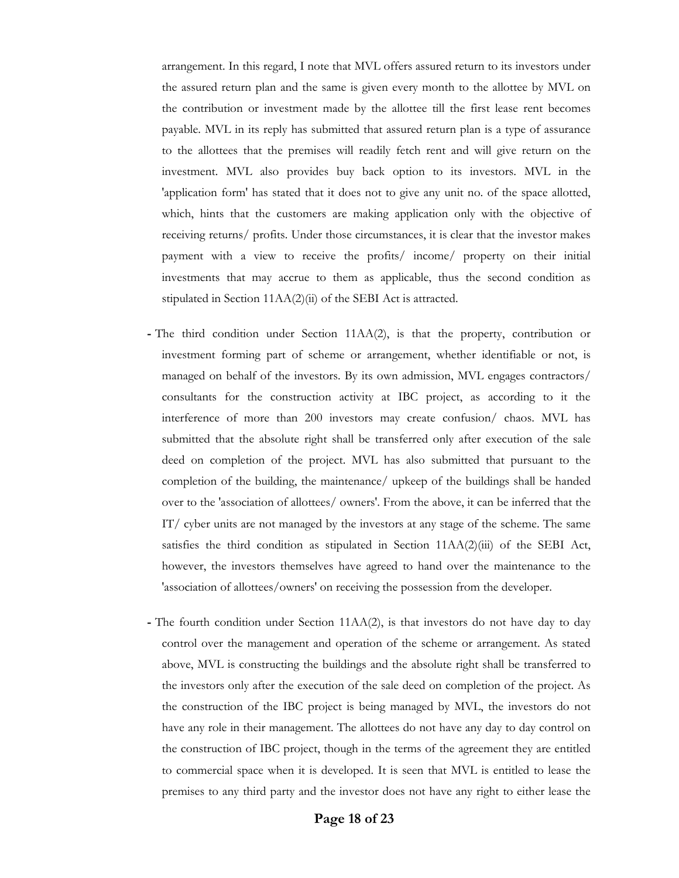arrangement. In this regard, I note that MVL offers assured return to its investors under the assured return plan and the same is given every month to the allottee by MVL on the contribution or investment made by the allottee till the first lease rent becomes payable. MVL in its reply has submitted that assured return plan is a type of assurance to the allottees that the premises will readily fetch rent and will give return on the investment. MVL also provides buy back option to its investors. MVL in the 'application form' has stated that it does not to give any unit no. of the space allotted, which, hints that the customers are making application only with the objective of receiving returns/ profits. Under those circumstances, it is clear that the investor makes payment with a view to receive the profits/ income/ property on their initial investments that may accrue to them as applicable, thus the second condition as stipulated in Section 11AA(2)(ii) of the SEBI Act is attracted.

- **-** The third condition under Section 11AA(2), is that the property, contribution or investment forming part of scheme or arrangement, whether identifiable or not, is managed on behalf of the investors. By its own admission, MVL engages contractors/ consultants for the construction activity at IBC project, as according to it the interference of more than 200 investors may create confusion/ chaos. MVL has submitted that the absolute right shall be transferred only after execution of the sale deed on completion of the project. MVL has also submitted that pursuant to the completion of the building, the maintenance/ upkeep of the buildings shall be handed over to the 'association of allottees/ owners'. From the above, it can be inferred that the IT/ cyber units are not managed by the investors at any stage of the scheme. The same satisfies the third condition as stipulated in Section  $11AA(2)(iii)$  of the SEBI Act, however, the investors themselves have agreed to hand over the maintenance to the 'association of allottees/owners' on receiving the possession from the developer.
- **-** The fourth condition under Section 11AA(2), is that investors do not have day to day control over the management and operation of the scheme or arrangement. As stated above, MVL is constructing the buildings and the absolute right shall be transferred to the investors only after the execution of the sale deed on completion of the project. As the construction of the IBC project is being managed by MVL, the investors do not have any role in their management. The allottees do not have any day to day control on the construction of IBC project, though in the terms of the agreement they are entitled to commercial space when it is developed. It is seen that MVL is entitled to lease the premises to any third party and the investor does not have any right to either lease the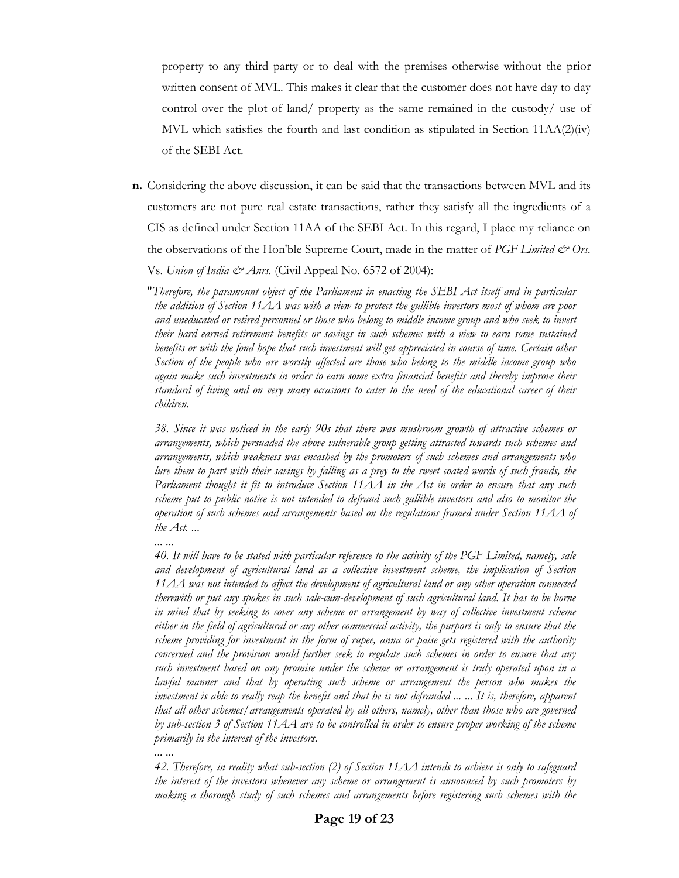property to any third party or to deal with the premises otherwise without the prior written consent of MVL. This makes it clear that the customer does not have day to day control over the plot of land/ property as the same remained in the custody/ use of MVL which satisfies the fourth and last condition as stipulated in Section  $11AA(2)(iv)$ of the SEBI Act.

**n.** Considering the above discussion, it can be said that the transactions between MVL and its customers are not pure real estate transactions, rather they satisfy all the ingredients of a CIS as defined under Section 11AA of the SEBI Act. In this regard, I place my reliance on the observations of the Hon'ble Supreme Court, made in the matter of *PGF Limited & Ors*.

"*Therefore, the paramount object of the Parliament in enacting the SEBI Act itself and in particular the addition of Section 11AA was with a view to protect the gullible investors most of whom are poor and uneducated or retired personnel or those who belong to middle income group and who seek to invest their hard earned retirement benefits or savings in such schemes with a view to earn some sustained benefits or with the fond hope that such investment will get appreciated in course of time. Certain other Section of the people who are worstly affected are those who belong to the middle income group who again make such investments in order to earn some extra financial benefits and thereby improve their standard of living and on very many occasions to cater to the need of the educational career of their children.* 

*38. Since it was noticed in the early 90s that there was mushroom growth of attractive schemes or arrangements, which persuaded the above vulnerable group getting attracted towards such schemes and arrangements, which weakness was encashed by the promoters of such schemes and arrangements who lure them to part with their savings by falling as a prey to the sweet coated words of such frauds, the Parliament thought it fit to introduce Section 11AA in the Act in order to ensure that any such scheme put to public notice is not intended to defraud such gullible investors and also to monitor the operation of such schemes and arrangements based on the regulations framed under Section 11AA of the Act. ...* 

*... ...* 

*40. It will have to be stated with particular reference to the activity of the PGF Limited, namely, sale and development of agricultural land as a collective investment scheme, the implication of Section 11AA was not intended to affect the development of agricultural land or any other operation connected therewith or put any spokes in such sale-cum-development of such agricultural land. It has to be borne in mind that by seeking to cover any scheme or arrangement by way of collective investment scheme either in the field of agricultural or any other commercial activity, the purport is only to ensure that the scheme providing for investment in the form of rupee, anna or paise gets registered with the authority concerned and the provision would further seek to regulate such schemes in order to ensure that any such investment based on any promise under the scheme or arrangement is truly operated upon in a lawful manner and that by operating such scheme or arrangement the person who makes the investment is able to really reap the benefit and that he is not defrauded ... ... It is, therefore, apparent that all other schemes/arrangements operated by all others, namely, other than those who are governed by sub-section 3 of Section 11AA are to be controlled in order to ensure proper working of the scheme primarily in the interest of the investors.* 

*... ...* 

*42. Therefore, in reality what sub-section (2) of Section 11AA intends to achieve is only to safeguard the interest of the investors whenever any scheme or arrangement is announced by such promoters by making a thorough study of such schemes and arrangements before registering such schemes with the* 

Vs. *Union of India & Anrs.* (Civil Appeal No. 6572 of 2004):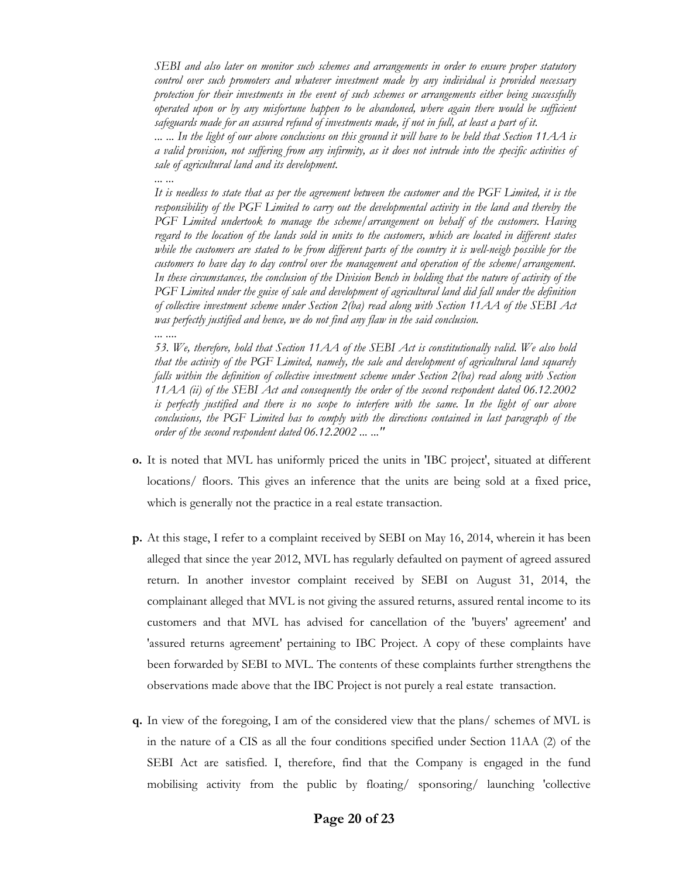*SEBI and also later on monitor such schemes and arrangements in order to ensure proper statutory control over such promoters and whatever investment made by any individual is provided necessary protection for their investments in the event of such schemes or arrangements either being successfully operated upon or by any misfortune happen to be abandoned, where again there would be sufficient safeguards made for an assured refund of investments made, if not in full, at least a part of it.* 

*... ... In the light of our above conclusions on this ground it will have to be held that Section 11AA is a valid provision, not suffering from any infirmity, as it does not intrude into the specific activities of sale of agricultural land and its development.* 

*... ...* 

*It is needless to state that as per the agreement between the customer and the PGF Limited, it is the responsibility of the PGF Limited to carry out the developmental activity in the land and thereby the PGF Limited undertook to manage the scheme/arrangement on behalf of the customers. Having regard to the location of the lands sold in units to the customers, which are located in different states while the customers are stated to be from different parts of the country it is well-neigh possible for the customers to have day to day control over the management and operation of the scheme/arrangement. In these circumstances, the conclusion of the Division Bench in holding that the nature of activity of the PGF Limited under the guise of sale and development of agricultural land did fall under the definition of collective investment scheme under Section 2(ba) read along with Section 11AA of the SEBI Act was perfectly justified and hence, we do not find any flaw in the said conclusion. ... ....* 

*53. We, therefore, hold that Section 11AA of the SEBI Act is constitutionally valid. We also hold that the activity of the PGF Limited, namely, the sale and development of agricultural land squarely falls within the definition of collective investment scheme under Section 2(ba) read along with Section 11AA (ii) of the SEBI Act and consequently the order of the second respondent dated 06.12.2002*  is perfectly justified and there is no scope to interfere with the same. In the light of our above *conclusions, the PGF Limited has to comply with the directions contained in last paragraph of the order of the second respondent dated 06.12.2002 ... ..."* 

- **o.** It is noted that MVL has uniformly priced the units in 'IBC project', situated at different locations/ floors. This gives an inference that the units are being sold at a fixed price, which is generally not the practice in a real estate transaction.
- **p.** At this stage, I refer to a complaint received by SEBI on May 16, 2014, wherein it has been alleged that since the year 2012, MVL has regularly defaulted on payment of agreed assured return. In another investor complaint received by SEBI on August 31, 2014, the complainant alleged that MVL is not giving the assured returns, assured rental income to its customers and that MVL has advised for cancellation of the 'buyers' agreement' and 'assured returns agreement' pertaining to IBC Project. A copy of these complaints have been forwarded by SEBI to MVL. The contents of these complaints further strengthens the observations made above that the IBC Project is not purely a real estate transaction.
- **q.** In view of the foregoing, I am of the considered view that the plans/ schemes of MVL is in the nature of a CIS as all the four conditions specified under Section 11AA (2) of the SEBI Act are satisfied. I, therefore, find that the Company is engaged in the fund mobilising activity from the public by floating/ sponsoring/ launching 'collective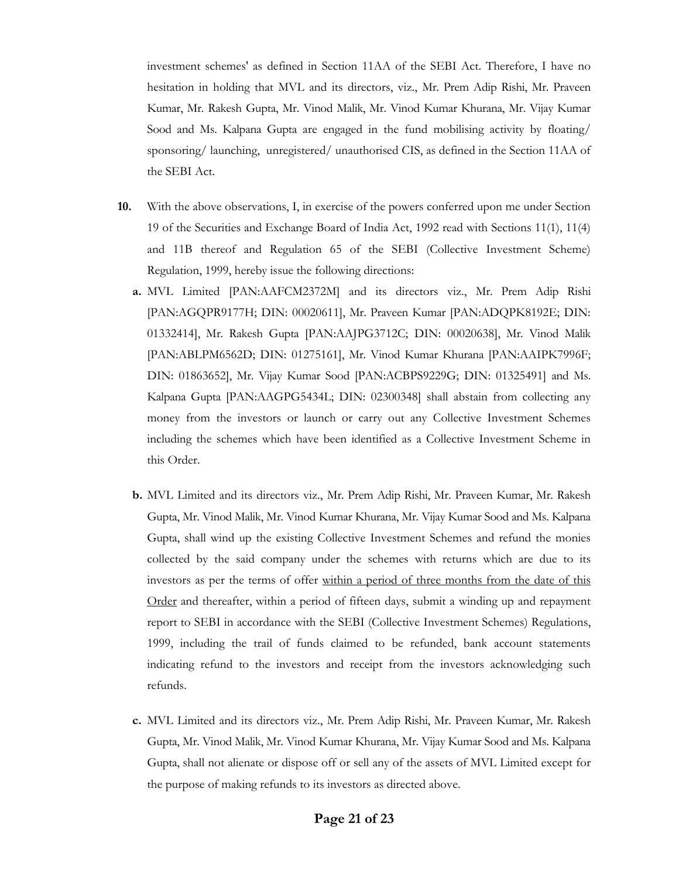investment schemes' as defined in Section 11AA of the SEBI Act. Therefore, I have no hesitation in holding that MVL and its directors, viz., Mr. Prem Adip Rishi, Mr. Praveen Kumar, Mr. Rakesh Gupta, Mr. Vinod Malik, Mr. Vinod Kumar Khurana, Mr. Vijay Kumar Sood and Ms. Kalpana Gupta are engaged in the fund mobilising activity by floating/ sponsoring/ launching, unregistered/ unauthorised CIS, as defined in the Section 11AA of the SEBI Act.

- **10.** With the above observations, I, in exercise of the powers conferred upon me under Section 19 of the Securities and Exchange Board of India Act, 1992 read with Sections 11(1), 11(4) and 11B thereof and Regulation 65 of the SEBI (Collective Investment Scheme) Regulation, 1999, hereby issue the following directions:
	- **a.** MVL Limited [PAN:AAFCM2372M] and its directors viz., Mr. Prem Adip Rishi [PAN:AGQPR9177H; DIN: 00020611], Mr. Praveen Kumar [PAN:ADQPK8192E; DIN: 01332414], Mr. Rakesh Gupta [PAN:AAJPG3712C; DIN: 00020638], Mr. Vinod Malik [PAN:ABLPM6562D; DIN: 01275161], Mr. Vinod Kumar Khurana [PAN:AAIPK7996F; DIN: 01863652], Mr. Vijay Kumar Sood [PAN:ACBPS9229G; DIN: 01325491] and Ms. Kalpana Gupta [PAN:AAGPG5434L; DIN: 02300348] shall abstain from collecting any money from the investors or launch or carry out any Collective Investment Schemes including the schemes which have been identified as a Collective Investment Scheme in this Order.
	- **b.** MVL Limited and its directors viz., Mr. Prem Adip Rishi, Mr. Praveen Kumar, Mr. Rakesh Gupta, Mr. Vinod Malik, Mr. Vinod Kumar Khurana, Mr. Vijay Kumar Sood and Ms. Kalpana Gupta, shall wind up the existing Collective Investment Schemes and refund the monies collected by the said company under the schemes with returns which are due to its investors as per the terms of offer within a period of three months from the date of this Order and thereafter, within a period of fifteen days, submit a winding up and repayment report to SEBI in accordance with the SEBI (Collective Investment Schemes) Regulations, 1999, including the trail of funds claimed to be refunded, bank account statements indicating refund to the investors and receipt from the investors acknowledging such refunds.
	- **c.** MVL Limited and its directors viz., Mr. Prem Adip Rishi, Mr. Praveen Kumar, Mr. Rakesh Gupta, Mr. Vinod Malik, Mr. Vinod Kumar Khurana, Mr. Vijay Kumar Sood and Ms. Kalpana Gupta, shall not alienate or dispose off or sell any of the assets of MVL Limited except for the purpose of making refunds to its investors as directed above.

# **Page 21 of 23**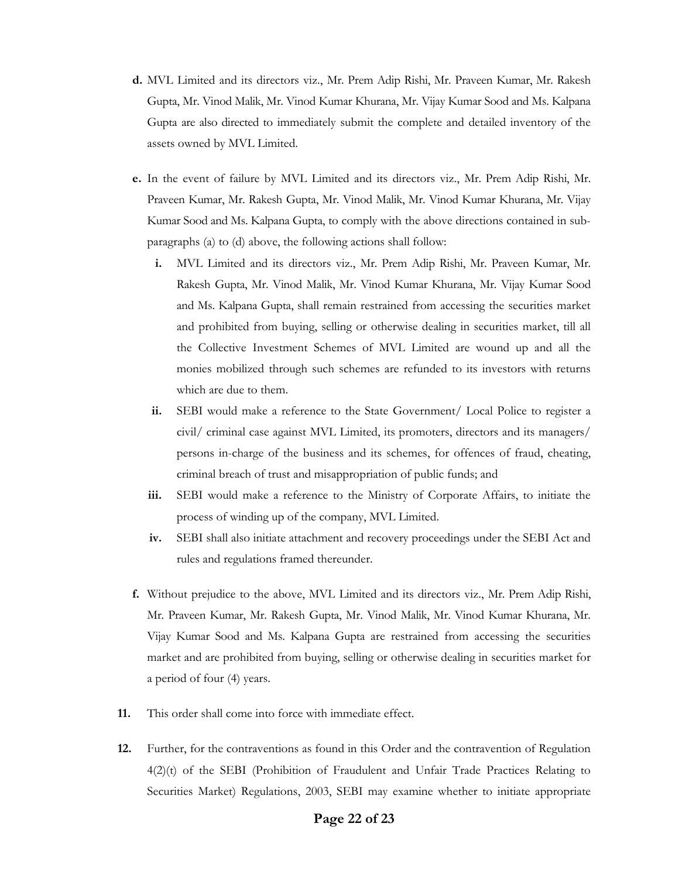- **d.** MVL Limited and its directors viz., Mr. Prem Adip Rishi, Mr. Praveen Kumar, Mr. Rakesh Gupta, Mr. Vinod Malik, Mr. Vinod Kumar Khurana, Mr. Vijay Kumar Sood and Ms. Kalpana Gupta are also directed to immediately submit the complete and detailed inventory of the assets owned by MVL Limited.
- **e.** In the event of failure by MVL Limited and its directors viz., Mr. Prem Adip Rishi, Mr. Praveen Kumar, Mr. Rakesh Gupta, Mr. Vinod Malik, Mr. Vinod Kumar Khurana, Mr. Vijay Kumar Sood and Ms. Kalpana Gupta, to comply with the above directions contained in subparagraphs (a) to (d) above, the following actions shall follow:
	- **i.** MVL Limited and its directors viz., Mr. Prem Adip Rishi, Mr. Praveen Kumar, Mr. Rakesh Gupta, Mr. Vinod Malik, Mr. Vinod Kumar Khurana, Mr. Vijay Kumar Sood and Ms. Kalpana Gupta, shall remain restrained from accessing the securities market and prohibited from buying, selling or otherwise dealing in securities market, till all the Collective Investment Schemes of MVL Limited are wound up and all the monies mobilized through such schemes are refunded to its investors with returns which are due to them.
	- **ii.** SEBI would make a reference to the State Government/ Local Police to register a civil/ criminal case against MVL Limited, its promoters, directors and its managers/ persons in-charge of the business and its schemes, for offences of fraud, cheating, criminal breach of trust and misappropriation of public funds; and
	- **iii.** SEBI would make a reference to the Ministry of Corporate Affairs, to initiate the process of winding up of the company, MVL Limited.
	- **iv.** SEBI shall also initiate attachment and recovery proceedings under the SEBI Act and rules and regulations framed thereunder.
- **f.** Without prejudice to the above, MVL Limited and its directors viz., Mr. Prem Adip Rishi, Mr. Praveen Kumar, Mr. Rakesh Gupta, Mr. Vinod Malik, Mr. Vinod Kumar Khurana, Mr. Vijay Kumar Sood and Ms. Kalpana Gupta are restrained from accessing the securities market and are prohibited from buying, selling or otherwise dealing in securities market for a period of four (4) years.
- **11.** This order shall come into force with immediate effect.
- **12.** Further, for the contraventions as found in this Order and the contravention of Regulation 4(2)(t) of the SEBI (Prohibition of Fraudulent and Unfair Trade Practices Relating to Securities Market) Regulations, 2003, SEBI may examine whether to initiate appropriate